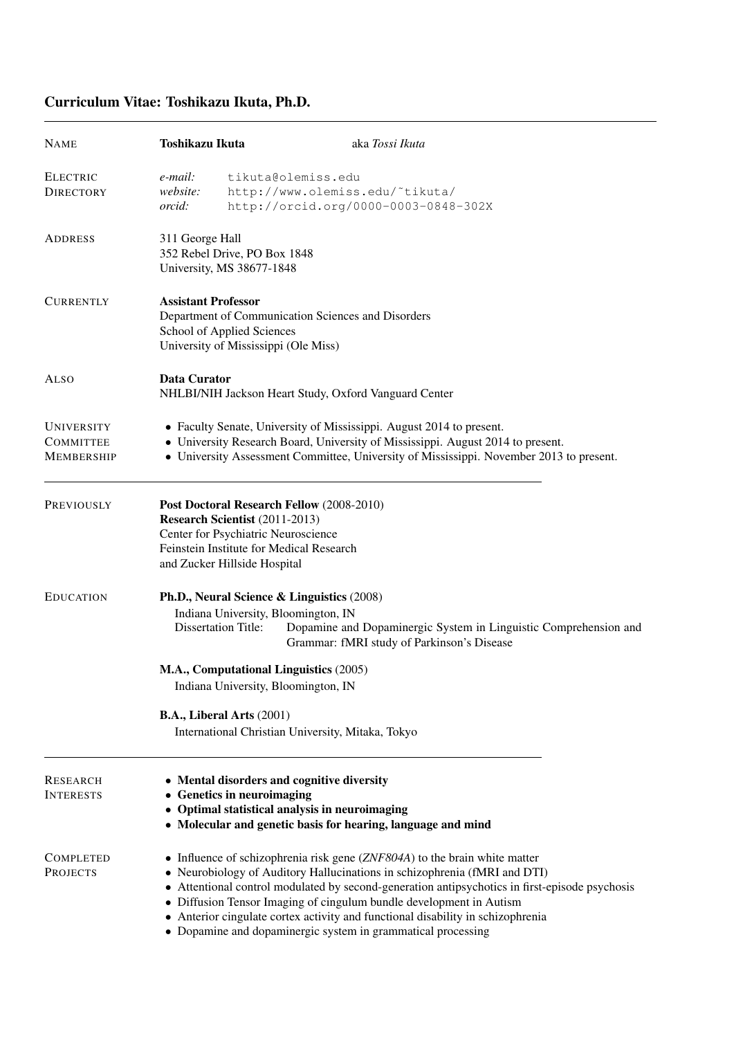## Curriculum Vitae: Toshikazu Ikuta, Ph.D.

| <b>NAME</b>                                                | <b>Toshikazu Ikuta</b>                                                                                                                                                                                                                                                                                                                                                                                                                                                                | aka Tossi Ikuta                                                                                                |
|------------------------------------------------------------|---------------------------------------------------------------------------------------------------------------------------------------------------------------------------------------------------------------------------------------------------------------------------------------------------------------------------------------------------------------------------------------------------------------------------------------------------------------------------------------|----------------------------------------------------------------------------------------------------------------|
| <b>ELECTRIC</b><br><b>DIRECTORY</b>                        | e-mail:<br>website:<br>orcid:                                                                                                                                                                                                                                                                                                                                                                                                                                                         | tikuta@olemiss.edu<br>http://www.olemiss.edu/~tikuta/<br>http://orcid.org/0000-0003-0848-302X                  |
| <b>ADDRESS</b>                                             | 311 George Hall<br>352 Rebel Drive, PO Box 1848<br>University, MS 38677-1848                                                                                                                                                                                                                                                                                                                                                                                                          |                                                                                                                |
| <b>CURRENTLY</b>                                           | <b>Assistant Professor</b><br>Department of Communication Sciences and Disorders<br>School of Applied Sciences<br>University of Mississippi (Ole Miss)                                                                                                                                                                                                                                                                                                                                |                                                                                                                |
| Also                                                       | <b>Data Curator</b><br>NHLBI/NIH Jackson Heart Study, Oxford Vanguard Center                                                                                                                                                                                                                                                                                                                                                                                                          |                                                                                                                |
| <b>UNIVERSITY</b><br><b>COMMITTEE</b><br><b>MEMBERSHIP</b> | • Faculty Senate, University of Mississippi. August 2014 to present.<br>• University Research Board, University of Mississippi. August 2014 to present.<br>• University Assessment Committee, University of Mississippi. November 2013 to present.                                                                                                                                                                                                                                    |                                                                                                                |
| PREVIOUSLY                                                 | Post Doctoral Research Fellow (2008-2010)<br>Research Scientist (2011-2013)<br>Center for Psychiatric Neuroscience<br>Feinstein Institute for Medical Research<br>and Zucker Hillside Hospital                                                                                                                                                                                                                                                                                        |                                                                                                                |
| <b>EDUCATION</b>                                           | Ph.D., Neural Science & Linguistics (2008)<br>Indiana University, Bloomington, IN<br><b>Dissertation Title:</b>                                                                                                                                                                                                                                                                                                                                                                       | Dopamine and Dopaminergic System in Linguistic Comprehension and<br>Grammar: fMRI study of Parkinson's Disease |
|                                                            | M.A., Computational Linguistics (2005)                                                                                                                                                                                                                                                                                                                                                                                                                                                |                                                                                                                |
|                                                            | Indiana University, Bloomington, IN<br><b>B.A., Liberal Arts (2001)</b>                                                                                                                                                                                                                                                                                                                                                                                                               | International Christian University, Mitaka, Tokyo                                                              |
| <b>RESEARCH</b><br><b>INTERESTS</b>                        | • Mental disorders and cognitive diversity<br>• Genetics in neuroimaging<br>• Optimal statistical analysis in neuroimaging<br>• Molecular and genetic basis for hearing, language and mind                                                                                                                                                                                                                                                                                            |                                                                                                                |
| <b>COMPLETED</b><br><b>PROJECTS</b>                        | • Influence of schizophrenia risk gene $(ZNF804A)$ to the brain white matter<br>• Neurobiology of Auditory Hallucinations in schizophrenia (fMRI and DTI)<br>• Attentional control modulated by second-generation antipsychotics in first-episode psychosis<br>• Diffusion Tensor Imaging of cingulum bundle development in Autism<br>• Anterior cingulate cortex activity and functional disability in schizophrenia<br>• Dopamine and dopaminergic system in grammatical processing |                                                                                                                |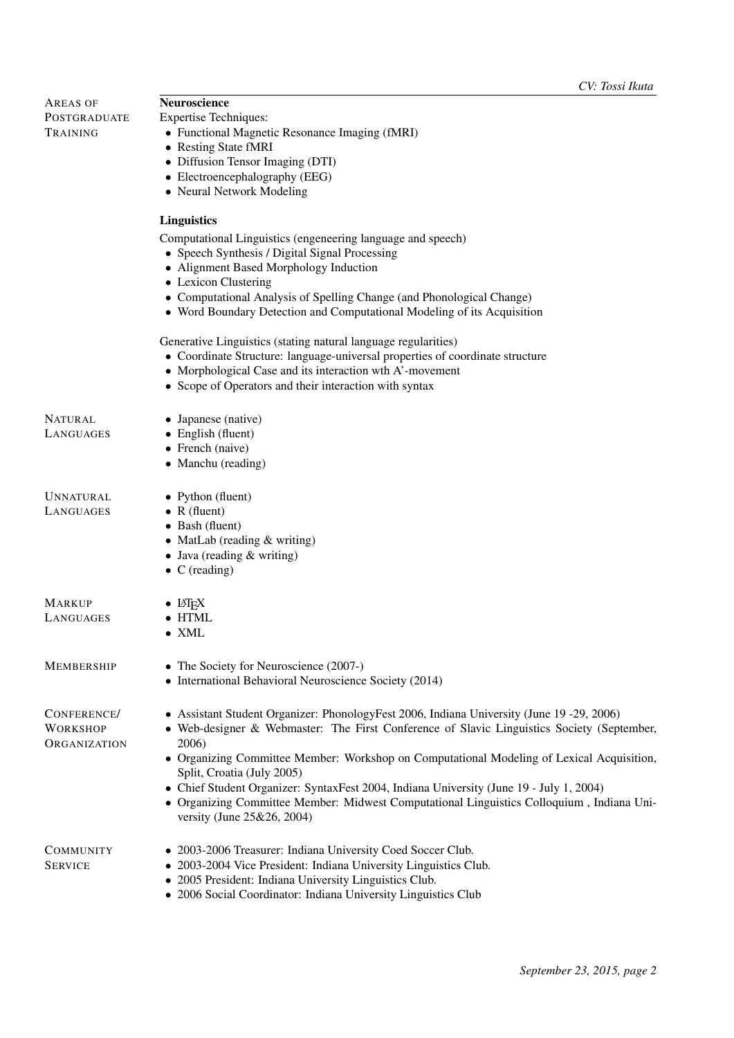| <b>AREAS OF</b>  | Neuroscience                                                                                                            |  |
|------------------|-------------------------------------------------------------------------------------------------------------------------|--|
| POSTGRADUATE     | <b>Expertise Techniques:</b>                                                                                            |  |
| TRAINING         | • Functional Magnetic Resonance Imaging (fMRI)                                                                          |  |
|                  | • Resting State fMRI                                                                                                    |  |
|                  | • Diffusion Tensor Imaging (DTI)                                                                                        |  |
|                  | • Electroencephalography (EEG)                                                                                          |  |
|                  | • Neural Network Modeling                                                                                               |  |
|                  | Linguistics                                                                                                             |  |
|                  | Computational Linguistics (engeneering language and speech)                                                             |  |
|                  | • Speech Synthesis / Digital Signal Processing                                                                          |  |
|                  | • Alignment Based Morphology Induction                                                                                  |  |
|                  | • Lexicon Clustering                                                                                                    |  |
|                  | • Computational Analysis of Spelling Change (and Phonological Change)                                                   |  |
|                  | • Word Boundary Detection and Computational Modeling of its Acquisition                                                 |  |
|                  | Generative Linguistics (stating natural language regularities)                                                          |  |
|                  | • Coordinate Structure: language-universal properties of coordinate structure                                           |  |
|                  | • Morphological Case and its interaction wth A'-movement                                                                |  |
|                  | • Scope of Operators and their interaction with syntax                                                                  |  |
| <b>NATURAL</b>   | • Japanese (native)                                                                                                     |  |
| LANGUAGES        | $\bullet$ English (fluent)                                                                                              |  |
|                  | • French (naive)                                                                                                        |  |
|                  | • Manchu (reading)                                                                                                      |  |
|                  |                                                                                                                         |  |
| <b>UNNATURAL</b> | • Python (fluent)                                                                                                       |  |
| LANGUAGES        | • $R$ (fluent)                                                                                                          |  |
|                  | $\bullet$ Bash (fluent)                                                                                                 |  |
|                  | • MatLab (reading & writing)                                                                                            |  |
|                  | • Java (reading $&$ writing)                                                                                            |  |
|                  | $\bullet$ C (reading)                                                                                                   |  |
| <b>MARKUP</b>    | $\bullet$ L <sub>H</sub> <sub>K</sub>                                                                                   |  |
| LANGUAGES        | $\bullet$ HTML                                                                                                          |  |
|                  | $\bullet$ XML                                                                                                           |  |
|                  | • The Society for Neuroscience (2007-)                                                                                  |  |
| MEMBERSHIP       | • International Behavioral Neuroscience Society (2014)                                                                  |  |
|                  |                                                                                                                         |  |
| CONFERENCE/      | • Assistant Student Organizer: PhonologyFest 2006, Indiana University (June 19 -29, 2006)                               |  |
| WORKSHOP         | • Web-designer & Webmaster: The First Conference of Slavic Linguistics Society (September,                              |  |
| ORGANIZATION     | 2006)                                                                                                                   |  |
|                  | • Organizing Committee Member: Workshop on Computational Modeling of Lexical Acquisition.                               |  |
|                  | Split, Croatia (July 2005)                                                                                              |  |
|                  | • Chief Student Organizer: SyntaxFest 2004, Indiana University (June 19 - July 1, 2004)                                 |  |
|                  | • Organizing Committee Member: Midwest Computational Linguistics Colloquium, Indiana Uni-<br>versity (June 25&26, 2004) |  |
|                  |                                                                                                                         |  |
| COMMUNITY        | • 2003-2006 Treasurer: Indiana University Coed Soccer Club.                                                             |  |
| <b>SERVICE</b>   | • 2003-2004 Vice President: Indiana University Linguistics Club.                                                        |  |
|                  | • 2005 President: Indiana University Linguistics Club.                                                                  |  |
|                  |                                                                                                                         |  |

• 2006 Social Coordinator: Indiana University Linguistics Club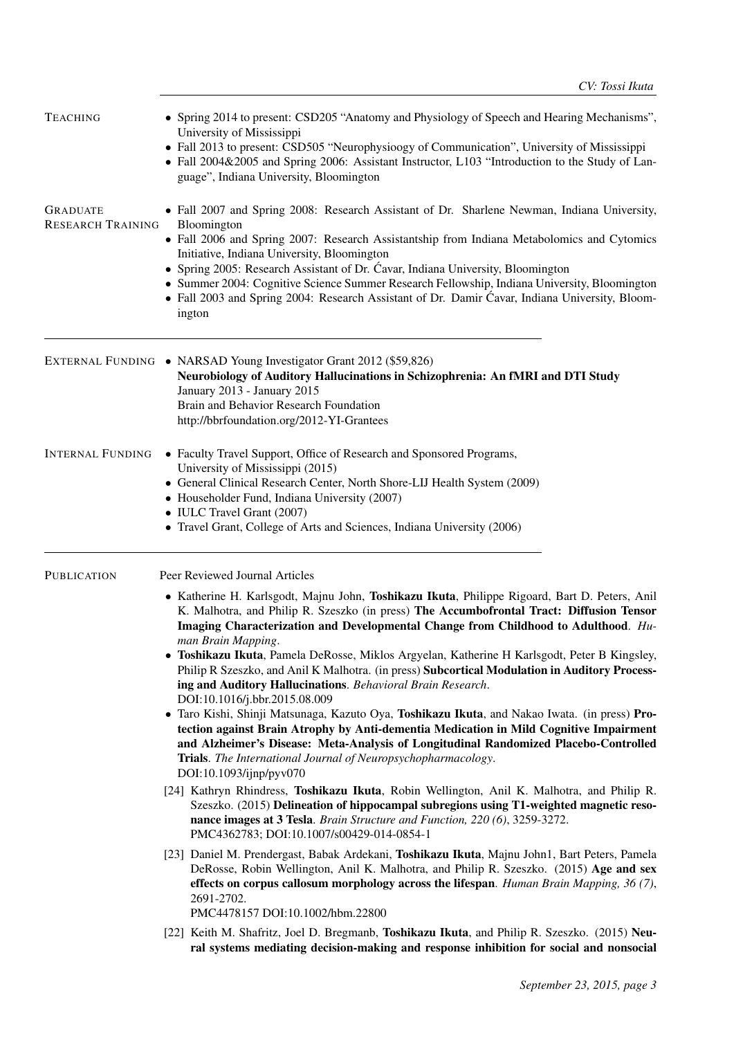| <b>TEACHING</b>                             | • Spring 2014 to present: CSD205 "Anatomy and Physiology of Speech and Hearing Mechanisms",<br>University of Mississippi<br>• Fall 2013 to present: CSD505 "Neurophysioogy of Communication", University of Mississippi<br>• Fall 2004&2005 and Spring 2006: Assistant Instructor, L103 "Introduction to the Study of Lan-<br>guage", Indiana University, Bloomington                                                                                                                                                                                                                                                                                                                                                                                                                                                                                                                                                                                                                                                                                                                                                                                                                                                                                                                                                                                                                                                                                                                                                                                                                                                                                                                                                                                                                                                                                                           |  |
|---------------------------------------------|---------------------------------------------------------------------------------------------------------------------------------------------------------------------------------------------------------------------------------------------------------------------------------------------------------------------------------------------------------------------------------------------------------------------------------------------------------------------------------------------------------------------------------------------------------------------------------------------------------------------------------------------------------------------------------------------------------------------------------------------------------------------------------------------------------------------------------------------------------------------------------------------------------------------------------------------------------------------------------------------------------------------------------------------------------------------------------------------------------------------------------------------------------------------------------------------------------------------------------------------------------------------------------------------------------------------------------------------------------------------------------------------------------------------------------------------------------------------------------------------------------------------------------------------------------------------------------------------------------------------------------------------------------------------------------------------------------------------------------------------------------------------------------------------------------------------------------------------------------------------------------|--|
| <b>GRADUATE</b><br><b>RESEARCH TRAINING</b> | • Fall 2007 and Spring 2008: Research Assistant of Dr. Sharlene Newman, Indiana University,<br>Bloomington<br>· Fall 2006 and Spring 2007: Research Assistantship from Indiana Metabolomics and Cytomics<br>Initiative, Indiana University, Bloomington<br>• Spring 2005: Research Assistant of Dr. Cavar, Indiana University, Bloomington<br>• Summer 2004: Cognitive Science Summer Research Fellowship, Indiana University, Bloomington<br>• Fall 2003 and Spring 2004: Research Assistant of Dr. Damir Ćavar, Indiana University, Bloom-<br>ington                                                                                                                                                                                                                                                                                                                                                                                                                                                                                                                                                                                                                                                                                                                                                                                                                                                                                                                                                                                                                                                                                                                                                                                                                                                                                                                          |  |
|                                             | EXTERNAL FUNDING • NARSAD Young Investigator Grant 2012 (\$59,826)<br>Neurobiology of Auditory Hallucinations in Schizophrenia: An fMRI and DTI Study<br>January 2013 - January 2015<br>Brain and Behavior Research Foundation<br>http://bbrfoundation.org/2012-YI-Grantees                                                                                                                                                                                                                                                                                                                                                                                                                                                                                                                                                                                                                                                                                                                                                                                                                                                                                                                                                                                                                                                                                                                                                                                                                                                                                                                                                                                                                                                                                                                                                                                                     |  |
| <b>INTERNAL FUNDING</b>                     | • Faculty Travel Support, Office of Research and Sponsored Programs,<br>University of Mississippi (2015)<br>• General Clinical Research Center, North Shore-LIJ Health System (2009)<br>• Householder Fund, Indiana University (2007)<br>• IULC Travel Grant (2007)<br>• Travel Grant, College of Arts and Sciences, Indiana University (2006)                                                                                                                                                                                                                                                                                                                                                                                                                                                                                                                                                                                                                                                                                                                                                                                                                                                                                                                                                                                                                                                                                                                                                                                                                                                                                                                                                                                                                                                                                                                                  |  |
| <b>PUBLICATION</b>                          | Peer Reviewed Journal Articles<br>· Katherine H. Karlsgodt, Majnu John, Toshikazu Ikuta, Philippe Rigoard, Bart D. Peters, Anil<br>K. Malhotra, and Philip R. Szeszko (in press) The Accumbofrontal Tract: Diffusion Tensor<br>Imaging Characterization and Developmental Change from Childhood to Adulthood. Hu-<br>man Brain Mapping.<br>• Toshikazu Ikuta, Pamela DeRosse, Miklos Argyelan, Katherine H Karlsgodt, Peter B Kingsley,<br>Philip R Szeszko, and Anil K Malhotra. (in press) Subcortical Modulation in Auditory Process-<br>ing and Auditory Hallucinations. Behavioral Brain Research.<br>DOI:10.1016/j.bbr.2015.08.009<br>· Taro Kishi, Shinji Matsunaga, Kazuto Oya, Toshikazu Ikuta, and Nakao Iwata. (in press) Pro-<br>tection against Brain Atrophy by Anti-dementia Medication in Mild Cognitive Impairment<br>and Alzheimer's Disease: Meta-Analysis of Longitudinal Randomized Placebo-Controlled<br>Trials. The International Journal of Neuropsychopharmacology.<br>DOI:10.1093/ijnp/pyv070<br>[24] Kathryn Rhindress, Toshikazu Ikuta, Robin Wellington, Anil K. Malhotra, and Philip R.<br>Szeszko. (2015) Delineation of hippocampal subregions using T1-weighted magnetic reso-<br>nance images at 3 Tesla. Brain Structure and Function, 220 (6), 3259-3272.<br>PMC4362783; DOI:10.1007/s00429-014-0854-1<br>[23] Daniel M. Prendergast, Babak Ardekani, Toshikazu Ikuta, Majnu John1, Bart Peters, Pamela<br>DeRosse, Robin Wellington, Anil K. Malhotra, and Philip R. Szeszko. (2015) Age and sex<br>effects on corpus callosum morphology across the lifespan. Human Brain Mapping, $36(7)$ ,<br>2691-2702.<br>PMC4478157 DOI:10.1002/hbm.22800<br>[22] Keith M. Shafritz, Joel D. Bregmanb, Toshikazu Ikuta, and Philip R. Szeszko. (2015) Neu-<br>ral systems mediating decision-making and response inhibition for social and nonsocial |  |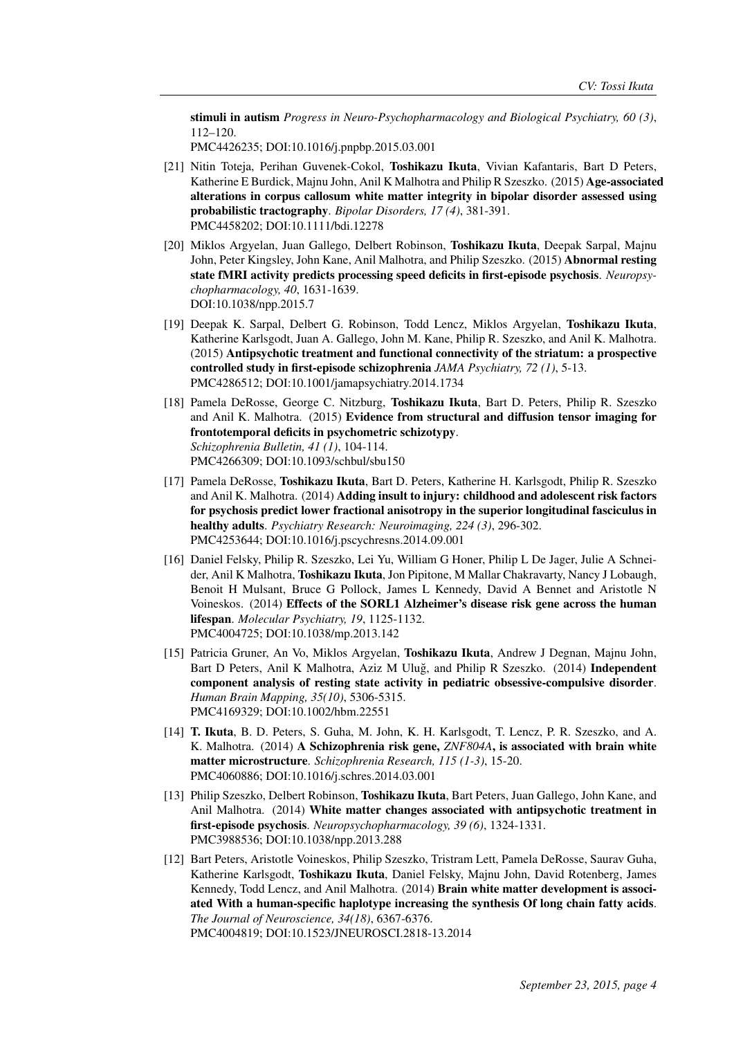stimuli in autism *Progress in Neuro-Psychopharmacology and Biological Psychiatry, 60 (3)*, 112–120.

PMC4426235; DOI:10.1016/j.pnpbp.2015.03.001

- [21] Nitin Toteja, Perihan Guvenek-Cokol, Toshikazu Ikuta, Vivian Kafantaris, Bart D Peters, Katherine E Burdick, Majnu John, Anil K Malhotra and Philip R Szeszko. (2015) Age-associated alterations in corpus callosum white matter integrity in bipolar disorder assessed using probabilistic tractography. *Bipolar Disorders, 17 (4)*, 381-391. PMC4458202; DOI:10.1111/bdi.12278
- [20] Miklos Argyelan, Juan Gallego, Delbert Robinson, Toshikazu Ikuta, Deepak Sarpal, Majnu John, Peter Kingsley, John Kane, Anil Malhotra, and Philip Szeszko. (2015) Abnormal resting state fMRI activity predicts processing speed deficits in first-episode psychosis. *Neuropsychopharmacology, 40*, 1631-1639. DOI:10.1038/npp.2015.7
- [19] Deepak K. Sarpal, Delbert G. Robinson, Todd Lencz, Miklos Argyelan, Toshikazu Ikuta, Katherine Karlsgodt, Juan A. Gallego, John M. Kane, Philip R. Szeszko, and Anil K. Malhotra. (2015) Antipsychotic treatment and functional connectivity of the striatum: a prospective controlled study in first-episode schizophrenia *JAMA Psychiatry, 72 (1)*, 5-13. PMC4286512; DOI:10.1001/jamapsychiatry.2014.1734
- [18] Pamela DeRosse, George C. Nitzburg, Toshikazu Ikuta, Bart D. Peters, Philip R. Szeszko and Anil K. Malhotra. (2015) Evidence from structural and diffusion tensor imaging for frontotemporal deficits in psychometric schizotypy. *Schizophrenia Bulletin, 41 (1)*, 104-114. PMC4266309; DOI:10.1093/schbul/sbu150
- [17] Pamela DeRosse, Toshikazu Ikuta, Bart D. Peters, Katherine H. Karlsgodt, Philip R. Szeszko and Anil K. Malhotra. (2014) Adding insult to injury: childhood and adolescent risk factors for psychosis predict lower fractional anisotropy in the superior longitudinal fasciculus in healthy adults. *Psychiatry Research: Neuroimaging, 224 (3)*, 296-302. PMC4253644; DOI:10.1016/j.pscychresns.2014.09.001
- [16] Daniel Felsky, Philip R. Szeszko, Lei Yu, William G Honer, Philip L De Jager, Julie A Schneider, Anil K Malhotra, Toshikazu Ikuta, Jon Pipitone, M Mallar Chakravarty, Nancy J Lobaugh, Benoit H Mulsant, Bruce G Pollock, James L Kennedy, David A Bennet and Aristotle N Voineskos. (2014) Effects of the SORL1 Alzheimer's disease risk gene across the human lifespan. *Molecular Psychiatry, 19*, 1125-1132. PMC4004725; DOI:10.1038/mp.2013.142
- [15] Patricia Gruner, An Vo, Miklos Argyelan, Toshikazu Ikuta, Andrew J Degnan, Majnu John, Bart D Peters, Anil K Malhotra, Aziz M Uluğ, and Philip R Szeszko. (2014) Independent component analysis of resting state activity in pediatric obsessive-compulsive disorder. *Human Brain Mapping, 35(10)*, 5306-5315. PMC4169329; DOI:10.1002/hbm.22551
- [14] T. Ikuta, B. D. Peters, S. Guha, M. John, K. H. Karlsgodt, T. Lencz, P. R. Szeszko, and A. K. Malhotra. (2014) A Schizophrenia risk gene, *ZNF804A*, is associated with brain white matter microstructure. *Schizophrenia Research, 115 (1-3)*, 15-20. PMC4060886; DOI:10.1016/j.schres.2014.03.001
- [13] Philip Szeszko, Delbert Robinson, Toshikazu Ikuta, Bart Peters, Juan Gallego, John Kane, and Anil Malhotra. (2014) White matter changes associated with antipsychotic treatment in first-episode psychosis. *Neuropsychopharmacology, 39 (6)*, 1324-1331. PMC3988536; DOI:10.1038/npp.2013.288
- [12] Bart Peters, Aristotle Voineskos, Philip Szeszko, Tristram Lett, Pamela DeRosse, Saurav Guha, Katherine Karlsgodt, Toshikazu Ikuta, Daniel Felsky, Majnu John, David Rotenberg, James Kennedy, Todd Lencz, and Anil Malhotra. (2014) Brain white matter development is associated With a human-specific haplotype increasing the synthesis Of long chain fatty acids. *The Journal of Neuroscience, 34(18)*, 6367-6376. PMC4004819; DOI:10.1523/JNEUROSCI.2818-13.2014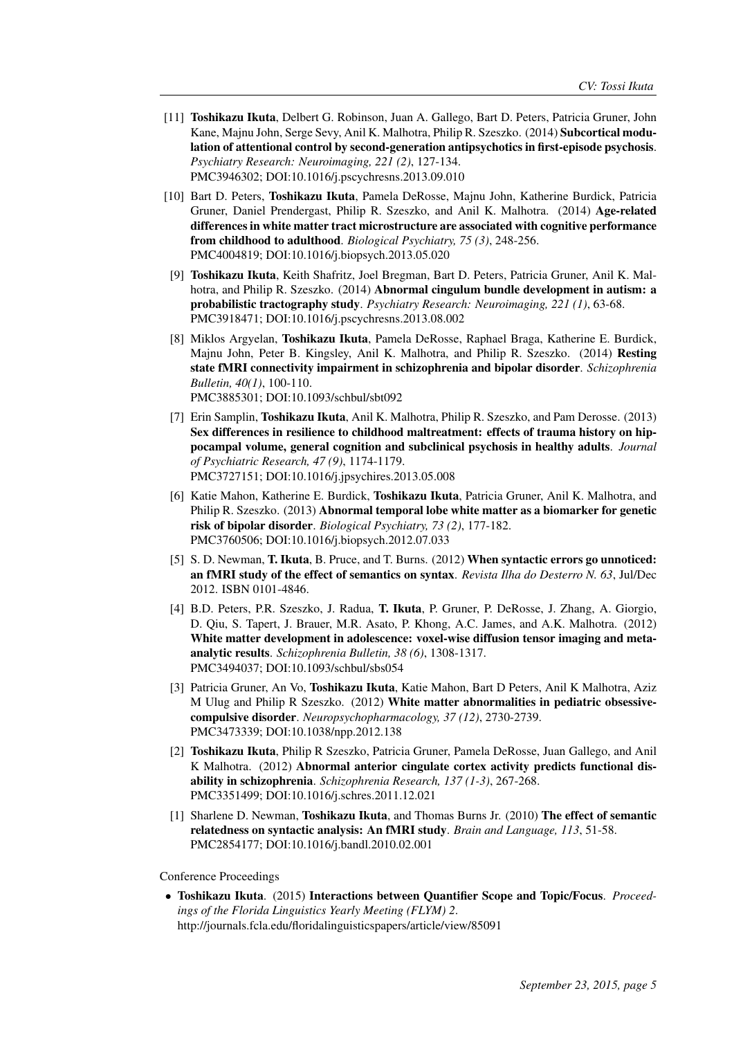- [11] Toshikazu Ikuta, Delbert G. Robinson, Juan A. Gallego, Bart D. Peters, Patricia Gruner, John Kane, Majnu John, Serge Sevy, Anil K. Malhotra, Philip R. Szeszko. (2014) Subcortical modulation of attentional control by second-generation antipsychotics in first-episode psychosis. *Psychiatry Research: Neuroimaging, 221 (2)*, 127-134. PMC3946302; DOI:10.1016/j.pscychresns.2013.09.010
- [10] Bart D. Peters, Toshikazu Ikuta, Pamela DeRosse, Majnu John, Katherine Burdick, Patricia Gruner, Daniel Prendergast, Philip R. Szeszko, and Anil K. Malhotra. (2014) Age-related differences in white matter tract microstructure are associated with cognitive performance from childhood to adulthood. *Biological Psychiatry, 75 (3)*, 248-256. PMC4004819; DOI:10.1016/j.biopsych.2013.05.020
- [9] Toshikazu Ikuta, Keith Shafritz, Joel Bregman, Bart D. Peters, Patricia Gruner, Anil K. Malhotra, and Philip R. Szeszko. (2014) Abnormal cingulum bundle development in autism: a probabilistic tractography study. *Psychiatry Research: Neuroimaging, 221 (1)*, 63-68. PMC3918471; DOI:10.1016/j.pscychresns.2013.08.002
- [8] Miklos Argyelan, Toshikazu Ikuta, Pamela DeRosse, Raphael Braga, Katherine E. Burdick, Majnu John, Peter B. Kingsley, Anil K. Malhotra, and Philip R. Szeszko. (2014) Resting state fMRI connectivity impairment in schizophrenia and bipolar disorder. *Schizophrenia Bulletin, 40(1)*, 100-110. PMC3885301; DOI:10.1093/schbul/sbt092
- [7] Erin Samplin, Toshikazu Ikuta, Anil K. Malhotra, Philip R. Szeszko, and Pam Derosse. (2013) Sex differences in resilience to childhood maltreatment: effects of trauma history on hippocampal volume, general cognition and subclinical psychosis in healthy adults. *Journal of Psychiatric Research, 47 (9)*, 1174-1179. PMC3727151; DOI:10.1016/j.jpsychires.2013.05.008
- [6] Katie Mahon, Katherine E. Burdick, Toshikazu Ikuta, Patricia Gruner, Anil K. Malhotra, and Philip R. Szeszko. (2013) Abnormal temporal lobe white matter as a biomarker for genetic risk of bipolar disorder. *Biological Psychiatry, 73 (2)*, 177-182. PMC3760506; DOI:10.1016/j.biopsych.2012.07.033
- [5] S. D. Newman, **T. Ikuta**, B. Pruce, and T. Burns. (2012) **When syntactic errors go unnoticed:** an fMRI study of the effect of semantics on syntax. *Revista Ilha do Desterro N. 63*, Jul/Dec 2012. ISBN 0101-4846.
- [4] B.D. Peters, P.R. Szeszko, J. Radua, T. Ikuta, P. Gruner, P. DeRosse, J. Zhang, A. Giorgio, D. Qiu, S. Tapert, J. Brauer, M.R. Asato, P. Khong, A.C. James, and A.K. Malhotra. (2012) White matter development in adolescence: voxel-wise diffusion tensor imaging and metaanalytic results. *Schizophrenia Bulletin, 38 (6)*, 1308-1317. PMC3494037; DOI:10.1093/schbul/sbs054
- [3] Patricia Gruner, An Vo, Toshikazu Ikuta, Katie Mahon, Bart D Peters, Anil K Malhotra, Aziz M Ulug and Philip R Szeszko. (2012) White matter abnormalities in pediatric obsessivecompulsive disorder. *Neuropsychopharmacology, 37 (12)*, 2730-2739. PMC3473339; DOI:10.1038/npp.2012.138
- [2] Toshikazu Ikuta, Philip R Szeszko, Patricia Gruner, Pamela DeRosse, Juan Gallego, and Anil K Malhotra. (2012) Abnormal anterior cingulate cortex activity predicts functional disability in schizophrenia. *Schizophrenia Research, 137 (1-3)*, 267-268. PMC3351499; DOI:10.1016/j.schres.2011.12.021
- [1] Sharlene D. Newman, Toshikazu Ikuta, and Thomas Burns Jr. (2010) The effect of semantic relatedness on syntactic analysis: An fMRI study. *Brain and Language, 113*, 51-58. PMC2854177; DOI:10.1016/j.bandl.2010.02.001

Conference Proceedings

• Toshikazu Ikuta. (2015) Interactions between Quantifier Scope and Topic/Focus. *Proceedings of the Florida Linguistics Yearly Meeting (FLYM) 2*. http://journals.fcla.edu/floridalinguisticspapers/article/view/85091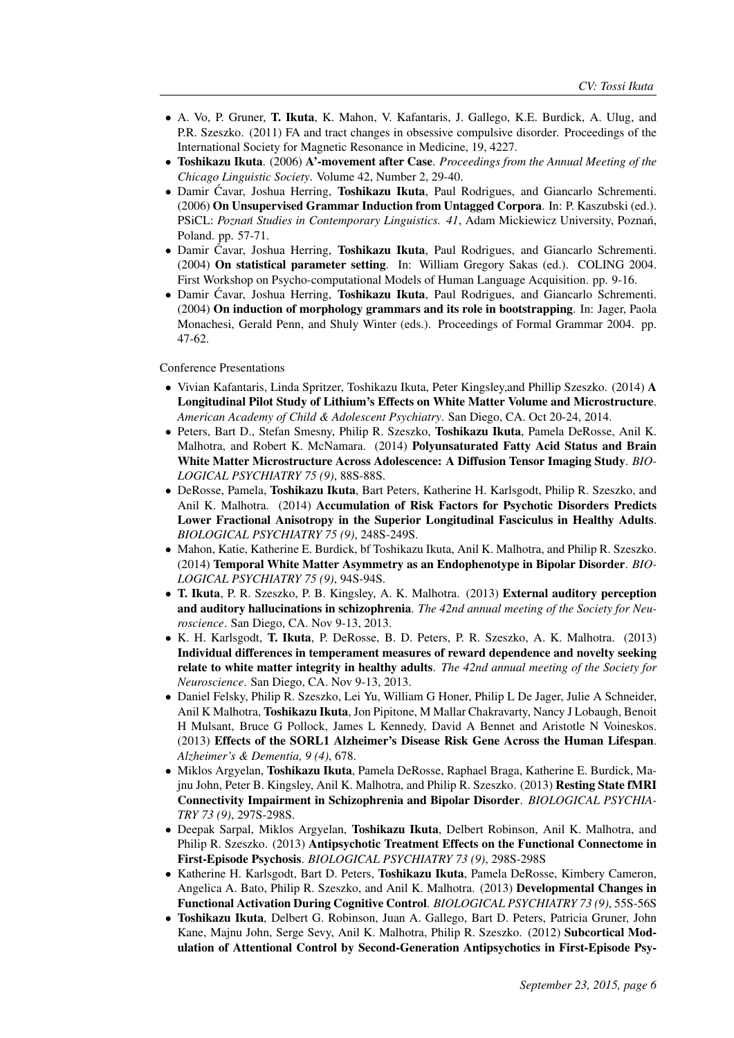- A. Vo, P. Gruner, T. Ikuta, K. Mahon, V. Kafantaris, J. Gallego, K.E. Burdick, A. Ulug, and P.R. Szeszko. (2011) FA and tract changes in obsessive compulsive disorder. Proceedings of the International Society for Magnetic Resonance in Medicine, 19, 4227.
- Toshikazu Ikuta. (2006) A'-movement after Case. *Proceedings from the Annual Meeting of the Chicago Linguistic Society*. Volume 42, Number 2, 29-40.
- Damir Ćavar, Joshua Herring, Toshikazu Ikuta, Paul Rodrigues, and Giancarlo Schrementi. (2006) On Unsupervised Grammar Induction from Untagged Corpora. In: P. Kaszubski (ed.). PSiCL: Poznań Studies in Contemporary Linguistics. 41, Adam Mickiewicz University, Poznań, Poland. pp. 57-71.
- Damir Cavar, Joshua Herring, Toshikazu Ikuta, Paul Rodrigues, and Giancarlo Schrementi. (2004) On statistical parameter setting. In: William Gregory Sakas (ed.). COLING 2004. First Workshop on Psycho-computational Models of Human Language Acquisition. pp. 9-16.
- Damir Cavar, Joshua Herring, **Toshikazu Ikuta**, Paul Rodrigues, and Giancarlo Schrementi. (2004) On induction of morphology grammars and its role in bootstrapping. In: Jager, Paola Monachesi, Gerald Penn, and Shuly Winter (eds.). Proceedings of Formal Grammar 2004. pp. 47-62.

## Conference Presentations

- Vivian Kafantaris, Linda Spritzer, Toshikazu Ikuta, Peter Kingsley,and Phillip Szeszko. (2014) A Longitudinal Pilot Study of Lithium's Effects on White Matter Volume and Microstructure. *American Academy of Child & Adolescent Psychiatry*. San Diego, CA. Oct 20-24, 2014.
- Peters, Bart D., Stefan Smesny, Philip R. Szeszko, Toshikazu Ikuta, Pamela DeRosse, Anil K. Malhotra, and Robert K. McNamara. (2014) Polyunsaturated Fatty Acid Status and Brain White Matter Microstructure Across Adolescence: A Diffusion Tensor Imaging Study. *BIO-LOGICAL PSYCHIATRY 75 (9)*, 88S-88S.
- DeRosse, Pamela, Toshikazu Ikuta, Bart Peters, Katherine H. Karlsgodt, Philip R. Szeszko, and Anil K. Malhotra. (2014) Accumulation of Risk Factors for Psychotic Disorders Predicts Lower Fractional Anisotropy in the Superior Longitudinal Fasciculus in Healthy Adults. *BIOLOGICAL PSYCHIATRY 75 (9)*, 248S-249S.
- Mahon, Katie, Katherine E. Burdick, bf Toshikazu Ikuta, Anil K. Malhotra, and Philip R. Szeszko. (2014) Temporal White Matter Asymmetry as an Endophenotype in Bipolar Disorder. *BIO-LOGICAL PSYCHIATRY 75 (9)*, 94S-94S.
- T. Ikuta, P. R. Szeszko, P. B. Kingsley, A. K. Malhotra. (2013) External auditory perception and auditory hallucinations in schizophrenia. *The 42nd annual meeting of the Society for Neuroscience*. San Diego, CA. Nov 9-13, 2013.
- K. H. Karlsgodt, T. Ikuta, P. DeRosse, B. D. Peters, P. R. Szeszko, A. K. Malhotra. (2013) Individual differences in temperament measures of reward dependence and novelty seeking relate to white matter integrity in healthy adults. *The 42nd annual meeting of the Society for Neuroscience*. San Diego, CA. Nov 9-13, 2013.
- Daniel Felsky, Philip R. Szeszko, Lei Yu, William G Honer, Philip L De Jager, Julie A Schneider, Anil K Malhotra, Toshikazu Ikuta, Jon Pipitone, M Mallar Chakravarty, Nancy J Lobaugh, Benoit H Mulsant, Bruce G Pollock, James L Kennedy, David A Bennet and Aristotle N Voineskos. (2013) Effects of the SORL1 Alzheimer's Disease Risk Gene Across the Human Lifespan. *Alzheimer's & Dementia, 9 (4)*, 678.
- Miklos Argyelan, Toshikazu Ikuta, Pamela DeRosse, Raphael Braga, Katherine E. Burdick, Majnu John, Peter B. Kingsley, Anil K. Malhotra, and Philip R. Szeszko. (2013) Resting State fMRI Connectivity Impairment in Schizophrenia and Bipolar Disorder. *BIOLOGICAL PSYCHIA-TRY 73 (9)*, 297S-298S.
- Deepak Sarpal, Miklos Argyelan, Toshikazu Ikuta, Delbert Robinson, Anil K. Malhotra, and Philip R. Szeszko. (2013) Antipsychotic Treatment Effects on the Functional Connectome in First-Episode Psychosis. *BIOLOGICAL PSYCHIATRY 73 (9)*, 298S-298S
- Katherine H. Karlsgodt, Bart D. Peters, Toshikazu Ikuta, Pamela DeRosse, Kimbery Cameron, Angelica A. Bato, Philip R. Szeszko, and Anil K. Malhotra. (2013) Developmental Changes in Functional Activation During Cognitive Control. *BIOLOGICAL PSYCHIATRY 73 (9)*, 55S-56S
- Toshikazu Ikuta, Delbert G. Robinson, Juan A. Gallego, Bart D. Peters, Patricia Gruner, John Kane, Majnu John, Serge Sevy, Anil K. Malhotra, Philip R. Szeszko. (2012) Subcortical Modulation of Attentional Control by Second-Generation Antipsychotics in First-Episode Psy-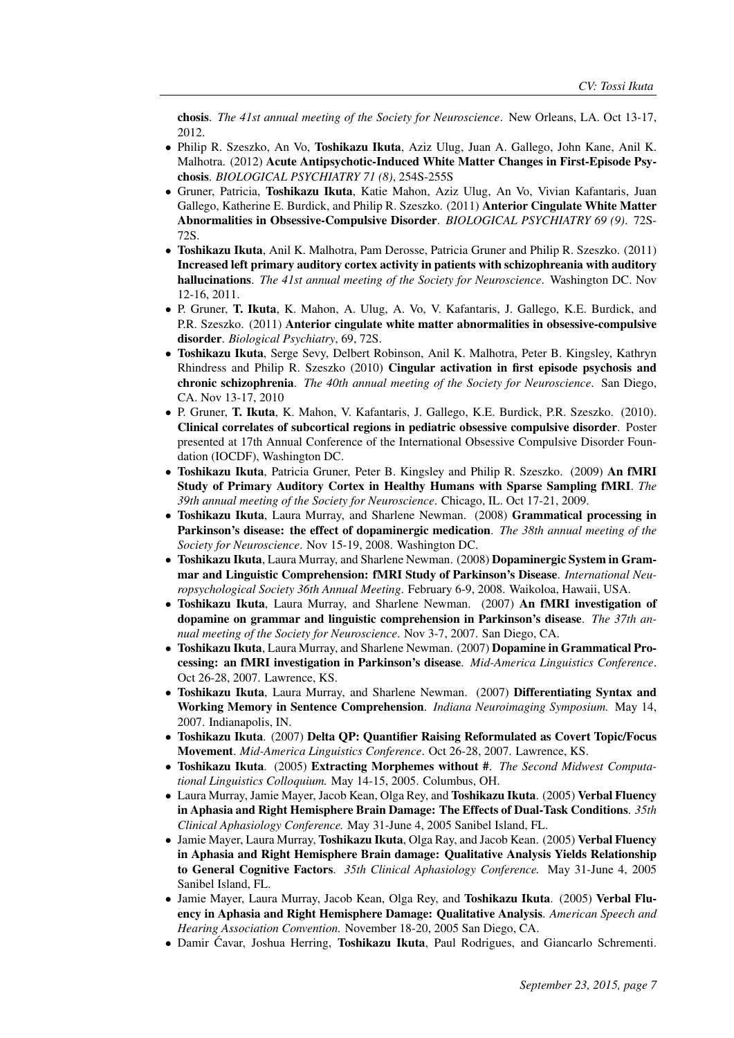chosis. *The 41st annual meeting of the Society for Neuroscience*. New Orleans, LA. Oct 13-17, 2012.

- Philip R. Szeszko, An Vo, Toshikazu Ikuta, Aziz Ulug, Juan A. Gallego, John Kane, Anil K. Malhotra. (2012) Acute Antipsychotic-Induced White Matter Changes in First-Episode Psychosis. *BIOLOGICAL PSYCHIATRY 71 (8)*, 254S-255S
- Gruner, Patricia, Toshikazu Ikuta, Katie Mahon, Aziz Ulug, An Vo, Vivian Kafantaris, Juan Gallego, Katherine E. Burdick, and Philip R. Szeszko. (2011) Anterior Cingulate White Matter Abnormalities in Obsessive-Compulsive Disorder. *BIOLOGICAL PSYCHIATRY 69 (9)*. 72S-72S.
- Toshikazu Ikuta, Anil K. Malhotra, Pam Derosse, Patricia Gruner and Philip R. Szeszko. (2011) Increased left primary auditory cortex activity in patients with schizophreania with auditory hallucinations. *The 41st annual meeting of the Society for Neuroscience*. Washington DC. Nov 12-16, 2011.
- P. Gruner, T. Ikuta, K. Mahon, A. Ulug, A. Vo, V. Kafantaris, J. Gallego, K.E. Burdick, and P.R. Szeszko. (2011) Anterior cingulate white matter abnormalities in obsessive-compulsive disorder. *Biological Psychiatry*, 69, 72S.
- Toshikazu Ikuta, Serge Sevy, Delbert Robinson, Anil K. Malhotra, Peter B. Kingsley, Kathryn Rhindress and Philip R. Szeszko (2010) Cingular activation in first episode psychosis and chronic schizophrenia. *The 40th annual meeting of the Society for Neuroscience*. San Diego, CA. Nov 13-17, 2010
- P. Gruner, T. Ikuta, K. Mahon, V. Kafantaris, J. Gallego, K.E. Burdick, P.R. Szeszko. (2010). Clinical correlates of subcortical regions in pediatric obsessive compulsive disorder. Poster presented at 17th Annual Conference of the International Obsessive Compulsive Disorder Foundation (IOCDF), Washington DC.
- Toshikazu Ikuta, Patricia Gruner, Peter B. Kingsley and Philip R. Szeszko. (2009) An fMRI Study of Primary Auditory Cortex in Healthy Humans with Sparse Sampling fMRI. *The 39th annual meeting of the Society for Neuroscience*. Chicago, IL. Oct 17-21, 2009.
- Toshikazu Ikuta, Laura Murray, and Sharlene Newman. (2008) Grammatical processing in Parkinson's disease: the effect of dopaminergic medication. *The 38th annual meeting of the Society for Neuroscience*. Nov 15-19, 2008. Washington DC.
- Toshikazu Ikuta, Laura Murray, and Sharlene Newman. (2008) Dopaminergic System in Grammar and Linguistic Comprehension: fMRI Study of Parkinson's Disease. *International Neuropsychological Society 36th Annual Meeting*. February 6-9, 2008. Waikoloa, Hawaii, USA.
- Toshikazu Ikuta, Laura Murray, and Sharlene Newman. (2007) An fMRI investigation of dopamine on grammar and linguistic comprehension in Parkinson's disease. *The 37th annual meeting of the Society for Neuroscience*. Nov 3-7, 2007. San Diego, CA.
- Toshikazu Ikuta, Laura Murray, and Sharlene Newman. (2007) Dopamine in Grammatical Processing: an fMRI investigation in Parkinson's disease. *Mid-America Linguistics Conference*. Oct 26-28, 2007. Lawrence, KS.
- Toshikazu Ikuta, Laura Murray, and Sharlene Newman. (2007) Differentiating Syntax and Working Memory in Sentence Comprehension. *Indiana Neuroimaging Symposium.* May 14, 2007. Indianapolis, IN.
- Toshikazu Ikuta. (2007) Delta QP: Quantifier Raising Reformulated as Covert Topic/Focus Movement. *Mid-America Linguistics Conference*. Oct 26-28, 2007. Lawrence, KS.
- Toshikazu Ikuta. (2005) Extracting Morphemes without #. *The Second Midwest Computational Linguistics Colloquium.* May 14-15, 2005. Columbus, OH.
- Laura Murray, Jamie Mayer, Jacob Kean, Olga Rey, and Toshikazu Ikuta. (2005) Verbal Fluency in Aphasia and Right Hemisphere Brain Damage: The Effects of Dual-Task Conditions. *35th Clinical Aphasiology Conference.* May 31-June 4, 2005 Sanibel Island, FL.
- Jamie Mayer, Laura Murray, Toshikazu Ikuta, Olga Ray, and Jacob Kean. (2005) Verbal Fluency in Aphasia and Right Hemisphere Brain damage: Qualitative Analysis Yields Relationship to General Cognitive Factors. *35th Clinical Aphasiology Conference.* May 31-June 4, 2005 Sanibel Island, FL.
- Jamie Mayer, Laura Murray, Jacob Kean, Olga Rey, and Toshikazu Ikuta. (2005) Verbal Fluency in Aphasia and Right Hemisphere Damage: Qualitative Analysis. *American Speech and Hearing Association Convention.* November 18-20, 2005 San Diego, CA.
- Damir Cavar, Joshua Herring, Toshikazu Ikuta, Paul Rodrigues, and Giancarlo Schrementi.